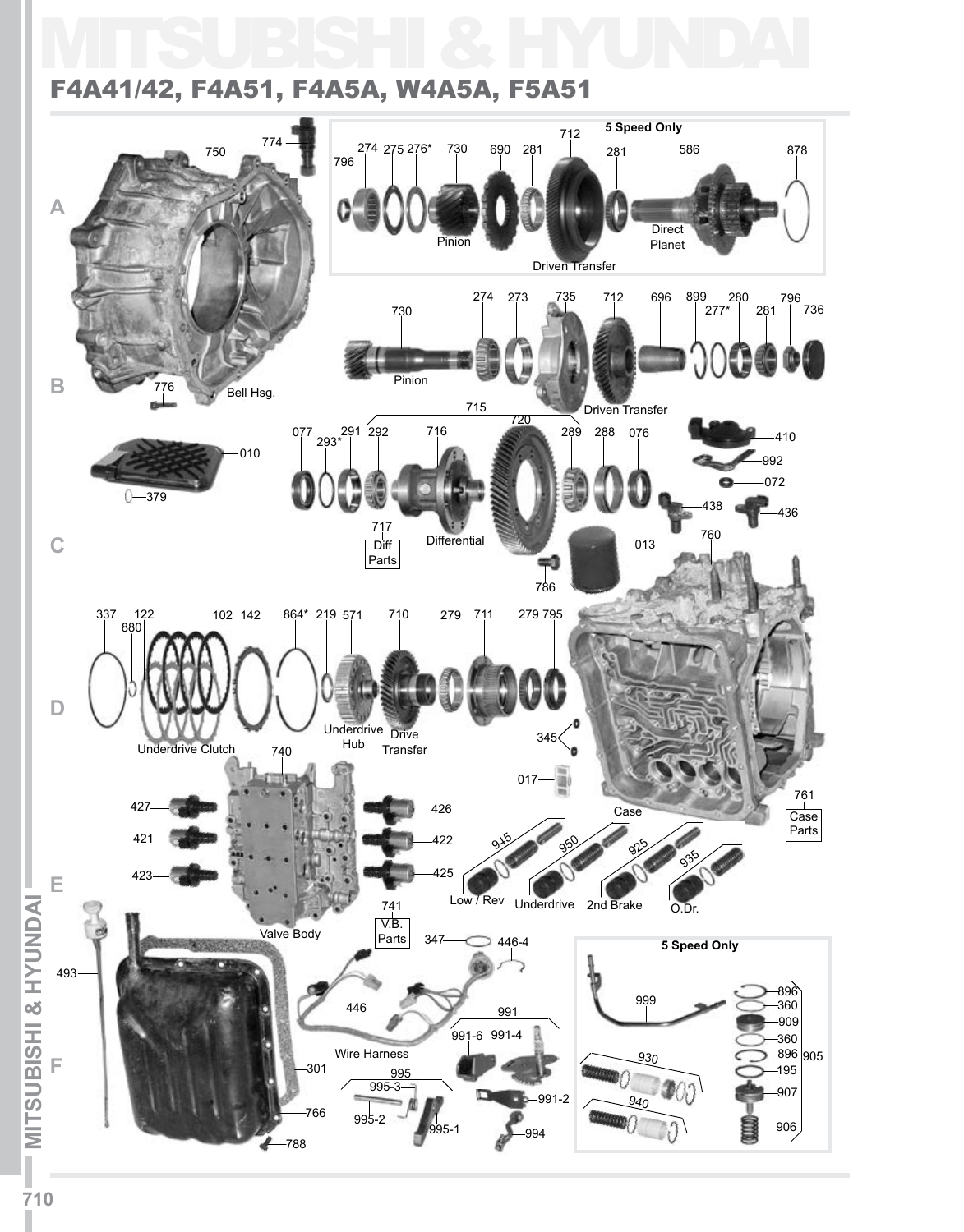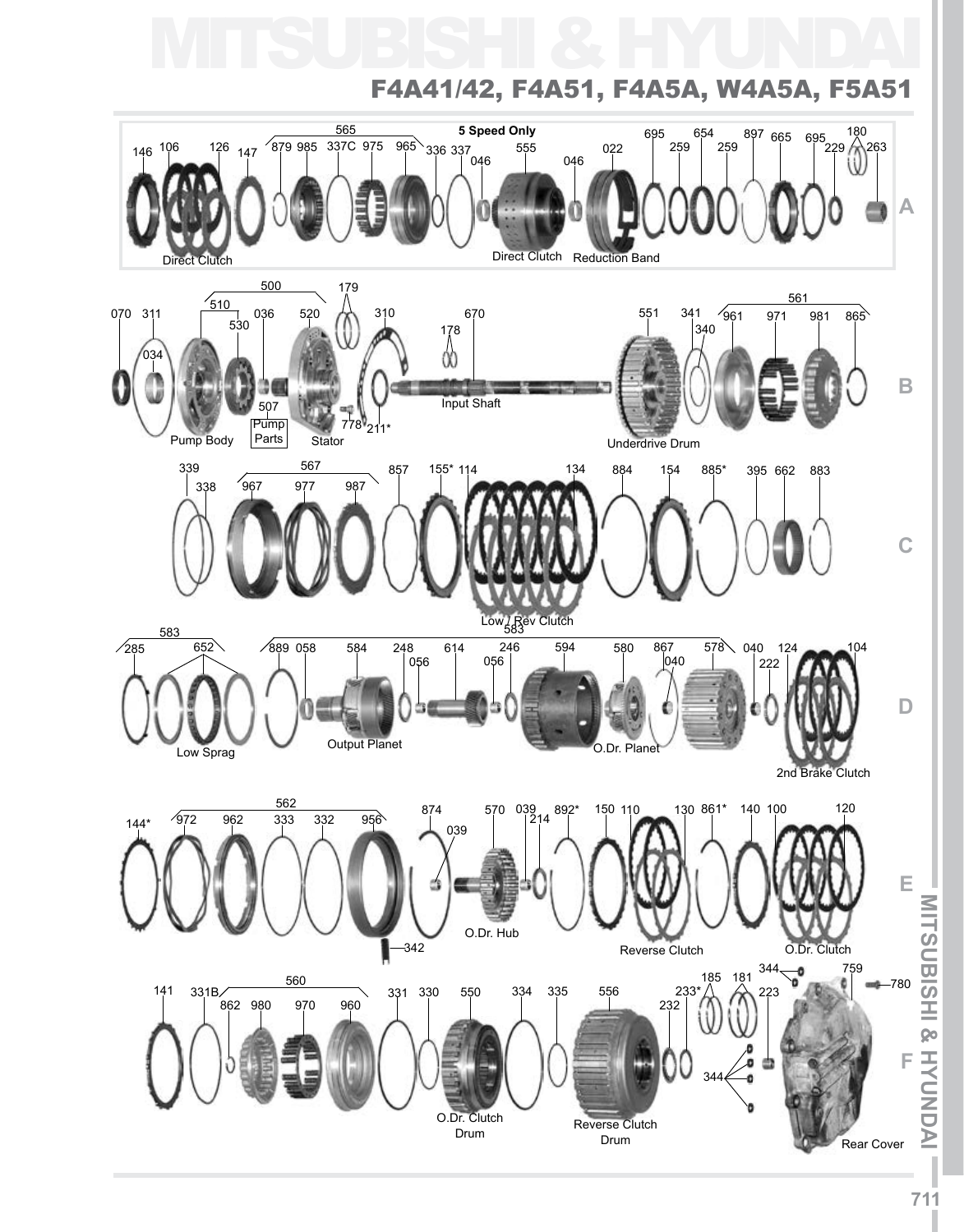



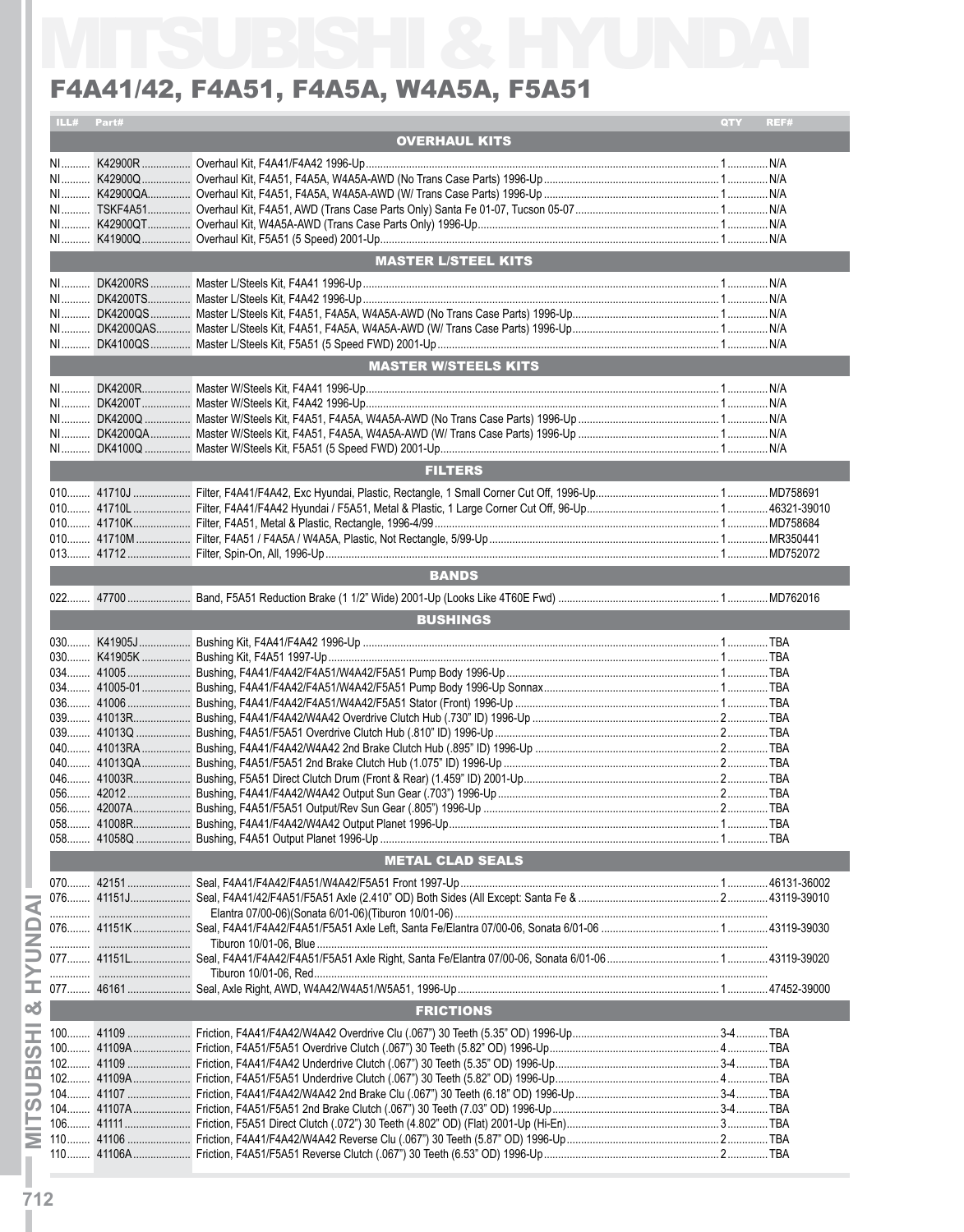| F4A41/42, F4A51, F4A5A, W4A5A, F5A51 |              |                             |             |  |  |  |
|--------------------------------------|--------------|-----------------------------|-------------|--|--|--|
|                                      | ILL# Part#   |                             | QTY<br>REF# |  |  |  |
|                                      |              | <b>OVERHAUL KITS</b>        |             |  |  |  |
|                                      |              |                             |             |  |  |  |
|                                      |              |                             |             |  |  |  |
|                                      |              |                             |             |  |  |  |
|                                      |              |                             |             |  |  |  |
|                                      |              |                             |             |  |  |  |
|                                      |              | <b>MASTER L/STEEL KITS</b>  |             |  |  |  |
|                                      |              |                             |             |  |  |  |
|                                      |              |                             |             |  |  |  |
|                                      |              |                             |             |  |  |  |
|                                      |              |                             |             |  |  |  |
|                                      |              |                             |             |  |  |  |
|                                      |              | <b>MASTER W/STEELS KITS</b> |             |  |  |  |
|                                      |              |                             |             |  |  |  |
|                                      |              |                             |             |  |  |  |
|                                      |              |                             |             |  |  |  |
|                                      |              |                             |             |  |  |  |
|                                      |              | <b>FILTERS</b>              |             |  |  |  |
|                                      |              |                             |             |  |  |  |
|                                      |              |                             |             |  |  |  |
|                                      |              |                             |             |  |  |  |
|                                      |              |                             |             |  |  |  |
|                                      |              |                             |             |  |  |  |
|                                      |              | <b>BANDS</b>                |             |  |  |  |
|                                      |              |                             |             |  |  |  |
|                                      |              | <b>BUSHINGS</b>             |             |  |  |  |
|                                      |              |                             |             |  |  |  |
|                                      |              |                             |             |  |  |  |
|                                      |              |                             |             |  |  |  |
|                                      |              |                             |             |  |  |  |
| 039                                  | 41013R.<br>. |                             |             |  |  |  |
|                                      |              |                             |             |  |  |  |
|                                      |              |                             |             |  |  |  |
|                                      |              |                             |             |  |  |  |
|                                      |              |                             |             |  |  |  |
|                                      |              |                             |             |  |  |  |
|                                      |              |                             |             |  |  |  |
|                                      |              |                             |             |  |  |  |
|                                      |              | <b>METAL CLAD SEALS</b>     |             |  |  |  |
|                                      |              |                             |             |  |  |  |
|                                      |              |                             |             |  |  |  |
|                                      |              |                             |             |  |  |  |
|                                      |              |                             |             |  |  |  |
|                                      |              |                             |             |  |  |  |
|                                      |              | <b>FRICTIONS</b>            |             |  |  |  |
|                                      |              |                             |             |  |  |  |
|                                      |              |                             |             |  |  |  |
|                                      |              |                             |             |  |  |  |
|                                      |              |                             |             |  |  |  |
|                                      |              |                             |             |  |  |  |
|                                      |              |                             |             |  |  |  |
|                                      |              |                             |             |  |  |  |
|                                      |              |                             |             |  |  |  |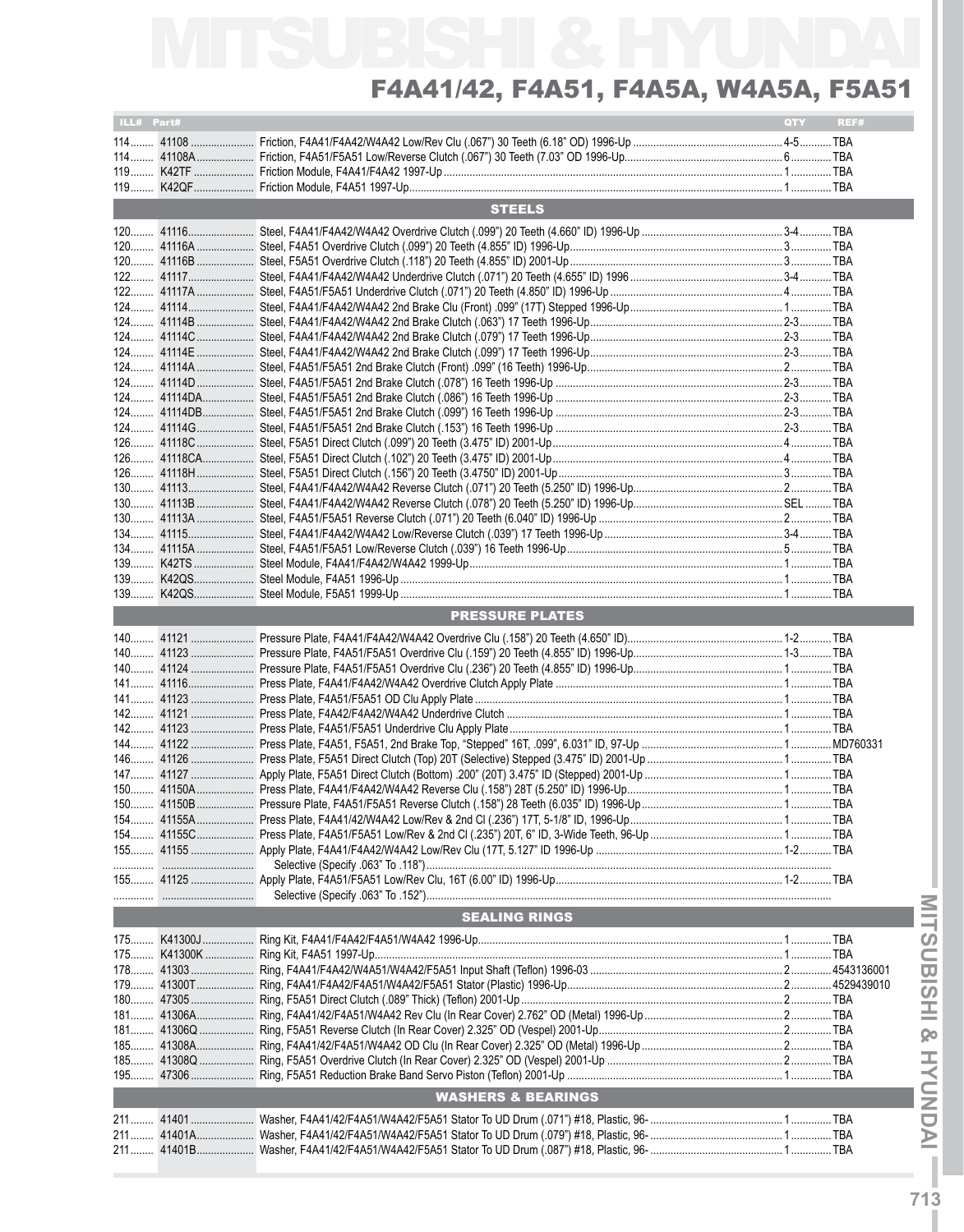| ILL# Part# |                               | QTY | REF# |
|------------|-------------------------------|-----|------|
|            |                               |     |      |
|            |                               |     |      |
|            |                               |     |      |
|            |                               |     |      |
|            |                               |     |      |
|            | <b>STEELS</b>                 |     |      |
|            |                               |     |      |
|            |                               |     |      |
|            |                               |     |      |
|            |                               |     |      |
|            |                               |     |      |
|            |                               |     |      |
|            |                               |     |      |
|            |                               |     |      |
|            |                               |     |      |
|            |                               |     |      |
|            |                               |     |      |
|            |                               |     |      |
|            |                               |     |      |
|            |                               |     |      |
|            |                               |     |      |
|            |                               |     |      |
|            |                               |     |      |
|            |                               |     |      |
|            |                               |     |      |
|            |                               |     |      |
|            |                               |     |      |
|            |                               |     |      |
|            |                               |     |      |
|            |                               |     |      |
|            |                               |     |      |
|            |                               |     |      |
|            |                               |     |      |
|            | <b>PRESSURE PLATES</b>        |     |      |
|            |                               |     |      |
|            |                               |     |      |
|            |                               |     |      |
|            |                               |     |      |
|            |                               |     |      |
|            |                               |     |      |
|            |                               |     |      |
|            |                               |     |      |
|            |                               |     |      |
|            |                               |     |      |
|            |                               |     |      |
|            |                               |     |      |
|            |                               |     |      |
|            |                               |     |      |
|            |                               |     |      |
|            |                               |     |      |
|            |                               |     |      |
|            |                               |     |      |
|            |                               |     |      |
|            |                               |     |      |
|            | <b>SEALING RINGS</b>          |     |      |
|            |                               |     |      |
|            |                               |     |      |
|            |                               |     |      |
|            |                               |     |      |
|            |                               |     |      |
|            |                               |     |      |
|            |                               |     |      |
|            |                               |     |      |
|            |                               |     |      |
|            |                               |     |      |
|            |                               |     |      |
|            | <b>WASHERS &amp; BEARINGS</b> |     |      |
|            |                               |     |      |
|            |                               |     |      |
|            |                               |     |      |
|            |                               |     |      |
|            |                               |     |      |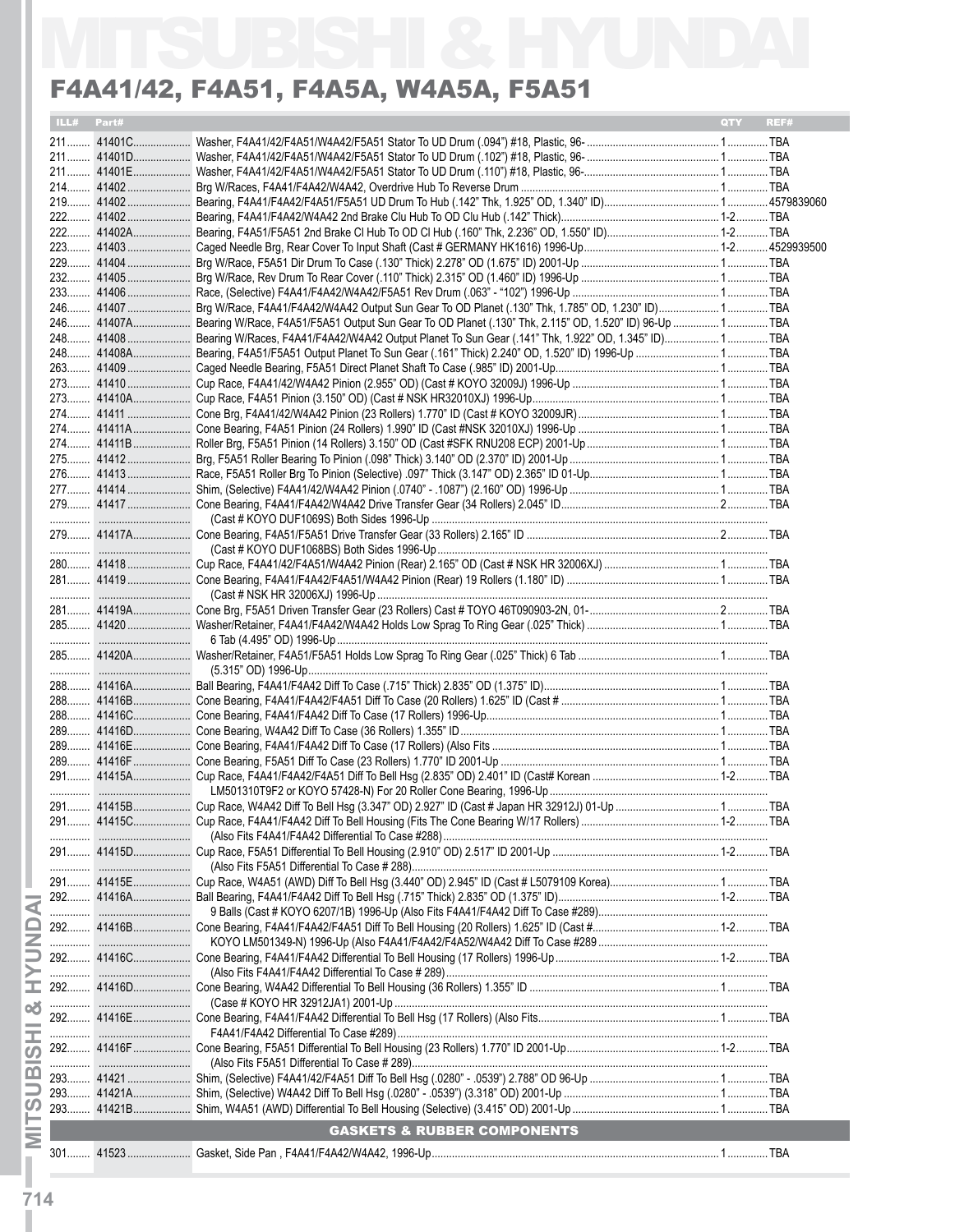| ILL# Part# |                                                                                                                    | <b>OTY</b> | REF# |
|------------|--------------------------------------------------------------------------------------------------------------------|------------|------|
|            |                                                                                                                    |            |      |
|            |                                                                                                                    |            |      |
|            |                                                                                                                    |            |      |
|            |                                                                                                                    |            |      |
|            |                                                                                                                    |            |      |
|            |                                                                                                                    |            |      |
|            |                                                                                                                    |            |      |
|            |                                                                                                                    |            |      |
|            |                                                                                                                    |            |      |
|            |                                                                                                                    |            |      |
|            |                                                                                                                    |            |      |
|            | 246 41407 Brg W/Race, F4A41/F4A42/W4A42 Output Sun Gear To OD Planet (.130" Thk, 1.785" OD, 1.230" ID) 1 TBA       |            |      |
|            | 246 41407A Bearing W/Race, F4A51/F5A51 Output Sun Gear To OD Planet (.130" Thk, 2.115" OD, 1.520" ID) 96-Up  1 TBA |            |      |
|            | 248 41408 Bearing W/Races, F4A41/F4A42/W4A42 Output Planet To Sun Gear (.141" Thk, 1.922" OD, 1.345" ID) 1 TBA     |            |      |
|            |                                                                                                                    |            |      |
|            |                                                                                                                    |            |      |
|            |                                                                                                                    |            |      |
|            |                                                                                                                    |            |      |
|            |                                                                                                                    |            |      |
|            |                                                                                                                    |            |      |
|            |                                                                                                                    |            |      |
|            |                                                                                                                    |            |      |
|            |                                                                                                                    |            |      |
|            |                                                                                                                    |            |      |
|            |                                                                                                                    |            |      |
|            |                                                                                                                    |            |      |
|            |                                                                                                                    |            |      |
|            |                                                                                                                    |            |      |
|            |                                                                                                                    |            |      |
|            |                                                                                                                    |            |      |
|            |                                                                                                                    |            |      |
|            |                                                                                                                    |            |      |
|            |                                                                                                                    |            |      |
|            |                                                                                                                    |            |      |
|            |                                                                                                                    |            |      |
|            |                                                                                                                    |            |      |
|            |                                                                                                                    |            |      |
|            |                                                                                                                    |            |      |
| 288 41416C |                                                                                                                    |            |      |
|            |                                                                                                                    |            |      |
| 289 41416E |                                                                                                                    |            |      |
| 289 41416F |                                                                                                                    |            |      |
|            |                                                                                                                    |            |      |
|            |                                                                                                                    |            |      |
|            |                                                                                                                    |            |      |
| 291 41415C |                                                                                                                    |            |      |
|            |                                                                                                                    |            |      |
|            |                                                                                                                    |            |      |
|            |                                                                                                                    |            |      |
|            |                                                                                                                    |            |      |
| 292 41416A |                                                                                                                    |            |      |
|            |                                                                                                                    |            |      |
|            |                                                                                                                    |            |      |
|            |                                                                                                                    |            |      |
|            |                                                                                                                    |            |      |
|            |                                                                                                                    |            |      |
|            |                                                                                                                    |            |      |
|            |                                                                                                                    |            |      |
|            |                                                                                                                    |            |      |
|            |                                                                                                                    |            |      |
|            |                                                                                                                    |            |      |
|            |                                                                                                                    |            |      |
|            |                                                                                                                    |            |      |
|            |                                                                                                                    |            |      |
|            |                                                                                                                    |            |      |
|            |                                                                                                                    |            |      |

I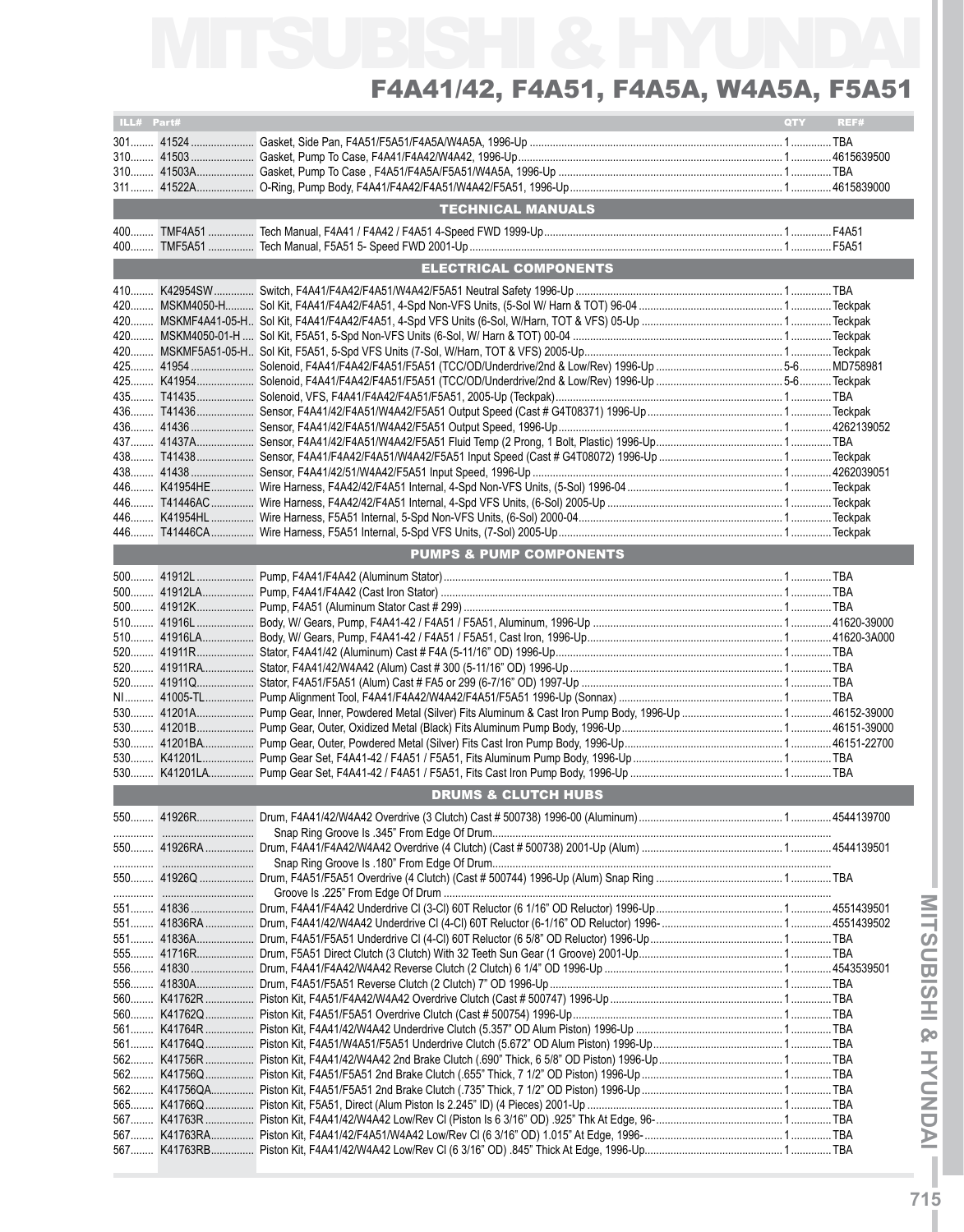| ILL# Part# |             |                                    | QTY | REF# |
|------------|-------------|------------------------------------|-----|------|
|            |             |                                    |     |      |
|            |             |                                    |     |      |
|            |             |                                    |     |      |
|            |             |                                    |     |      |
|            |             | <b>TECHNICAL MANUALS</b>           |     |      |
|            |             |                                    |     |      |
|            |             |                                    |     |      |
|            |             | <b>ELECTRICAL COMPONENTS</b>       |     |      |
|            |             |                                    |     |      |
|            |             |                                    |     |      |
|            |             |                                    |     |      |
| $420$      |             |                                    |     |      |
|            |             |                                    |     |      |
|            | 425 K41954  |                                    |     |      |
|            |             |                                    |     |      |
|            |             |                                    |     |      |
|            |             |                                    |     |      |
|            |             |                                    |     |      |
|            |             |                                    |     |      |
|            |             |                                    |     |      |
|            |             |                                    |     |      |
|            |             |                                    |     |      |
|            |             |                                    |     |      |
|            |             | <b>PUMPS &amp; PUMP COMPONENTS</b> |     |      |
|            |             |                                    |     |      |
|            | 500 41912LA |                                    |     |      |
|            | 500 41912K  |                                    |     |      |
|            | 510 41916L  |                                    |     |      |
|            |             |                                    |     |      |
|            | 520 41911RA |                                    |     |      |
|            | 520 41911Q  |                                    |     |      |
|            |             |                                    |     |      |
|            |             |                                    |     |      |
|            |             |                                    |     |      |
|            |             |                                    |     |      |
|            |             |                                    |     |      |
|            |             | <b>DRUMS &amp; CLUTCH HUBS</b>     |     |      |
|            |             |                                    |     |      |
|            |             |                                    |     |      |
|            |             |                                    |     |      |
|            |             |                                    |     |      |
|            |             |                                    |     |      |
|            |             |                                    |     |      |
|            |             |                                    |     |      |
|            | 551 41836A  |                                    |     |      |
|            |             |                                    |     |      |
|            |             |                                    |     |      |
|            |             |                                    |     |      |
|            |             |                                    |     |      |
|            |             |                                    |     |      |
|            |             |                                    |     |      |
|            |             |                                    |     |      |
|            |             |                                    |     |      |
|            |             |                                    |     |      |
|            |             |                                    |     |      |
|            |             |                                    |     |      |
|            |             |                                    |     |      |
|            |             |                                    |     |      |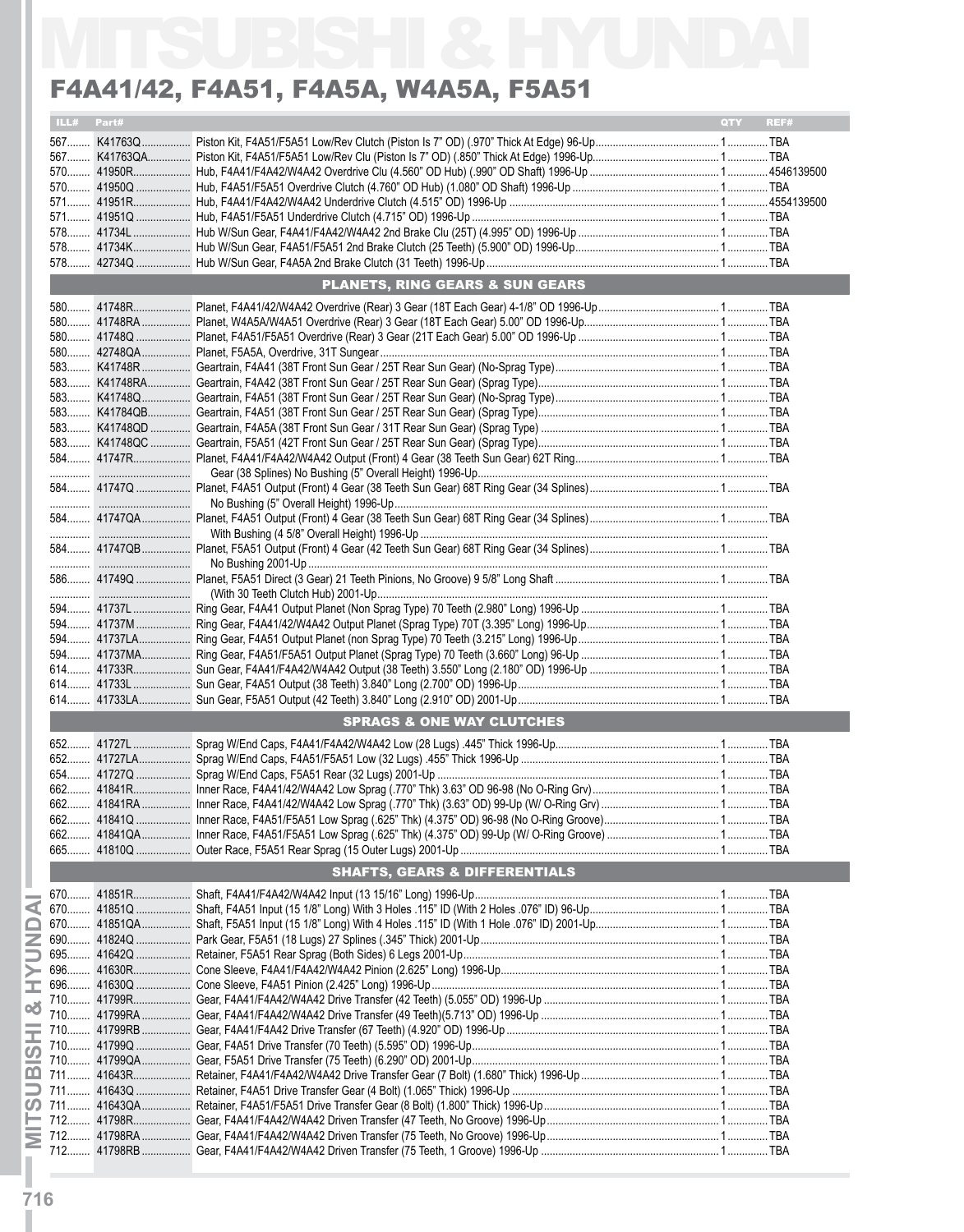|     |            | F4A41/42, F4A51, F4A5A, W4A5A, F5A51       |                    |
|-----|------------|--------------------------------------------|--------------------|
|     | ILL# Part# |                                            | <b>QTY</b><br>REF# |
|     |            |                                            |                    |
|     |            |                                            |                    |
|     |            |                                            |                    |
|     |            |                                            |                    |
|     |            |                                            |                    |
|     |            |                                            |                    |
|     |            |                                            |                    |
|     |            |                                            |                    |
|     |            |                                            |                    |
|     |            | <b>PLANETS, RING GEARS &amp; SUN GEARS</b> |                    |
|     |            |                                            |                    |
|     |            |                                            |                    |
|     |            |                                            |                    |
|     |            |                                            |                    |
|     |            |                                            |                    |
|     |            |                                            |                    |
|     |            |                                            |                    |
|     |            |                                            |                    |
|     |            |                                            |                    |
|     |            |                                            |                    |
|     |            |                                            |                    |
|     |            |                                            |                    |
|     |            |                                            |                    |
|     |            |                                            |                    |
|     |            |                                            |                    |
|     |            |                                            |                    |
|     |            |                                            |                    |
|     |            |                                            |                    |
|     |            |                                            |                    |
|     |            |                                            |                    |
|     |            |                                            |                    |
|     |            |                                            |                    |
|     |            |                                            |                    |
|     |            |                                            |                    |
|     |            |                                            |                    |
|     |            |                                            |                    |
|     |            | <b>SPRAGS &amp; ONE WAY CLUTCHES</b>       |                    |
|     |            |                                            |                    |
|     |            |                                            |                    |
|     |            |                                            |                    |
|     |            |                                            |                    |
|     |            |                                            |                    |
| 662 |            |                                            |                    |
| 662 |            |                                            |                    |
|     |            |                                            |                    |
|     |            |                                            |                    |
|     |            | SHAFTS, GEARS & DIFFERENTIALS              |                    |
|     |            |                                            |                    |
|     |            |                                            |                    |
|     |            |                                            |                    |
|     |            |                                            |                    |
|     |            |                                            |                    |
|     |            |                                            |                    |
|     |            |                                            |                    |
|     |            |                                            |                    |
|     |            |                                            |                    |
|     |            |                                            |                    |
|     |            |                                            |                    |
|     |            |                                            |                    |
|     |            |                                            |                    |
|     |            |                                            |                    |
|     |            |                                            |                    |
|     |            |                                            |                    |
|     |            |                                            |                    |

Ī.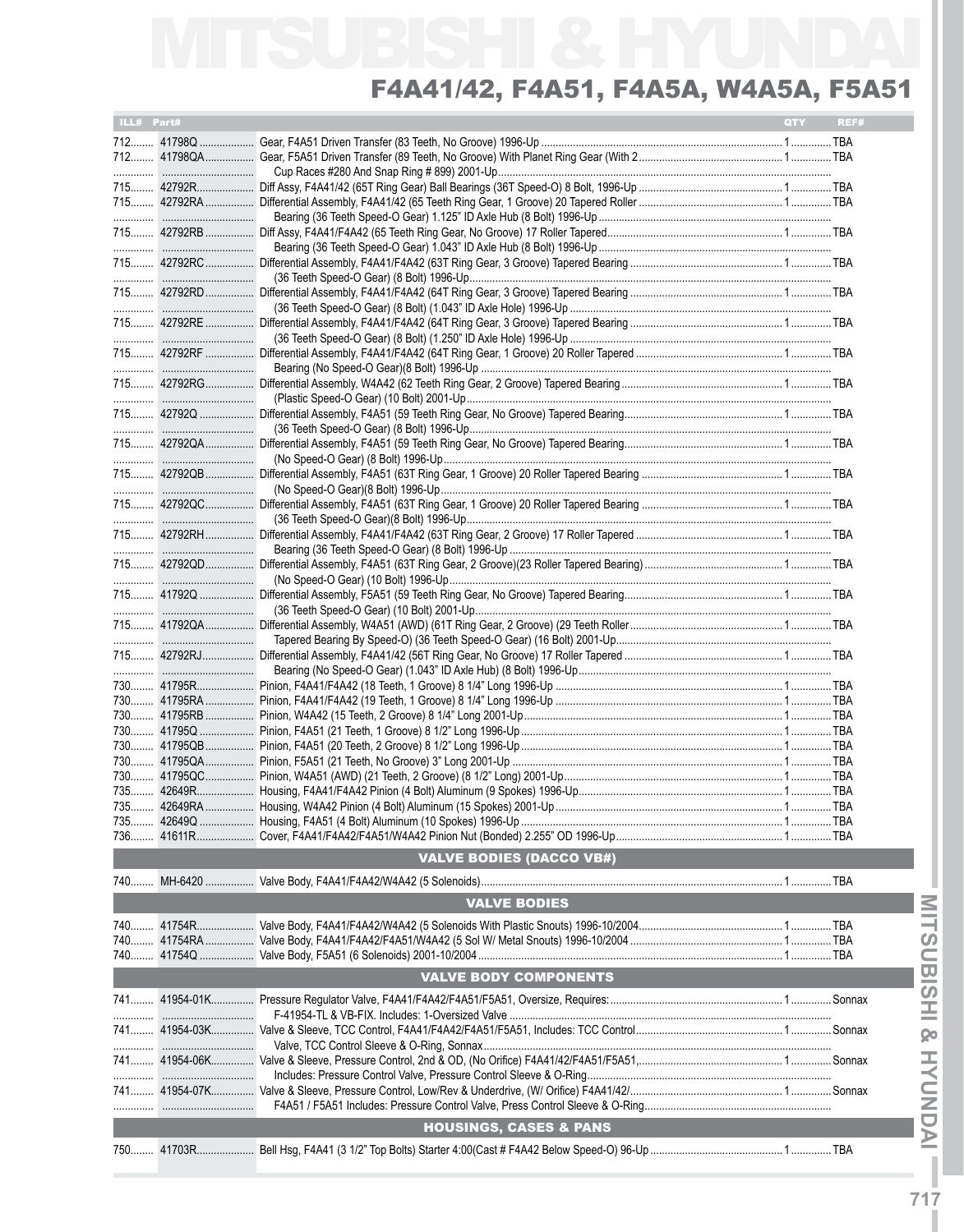| ILL# Part# |                                   | QTY | REF# |
|------------|-----------------------------------|-----|------|
|            |                                   |     |      |
|            |                                   |     |      |
|            |                                   |     |      |
|            |                                   |     |      |
|            |                                   |     |      |
|            |                                   |     |      |
|            |                                   |     |      |
|            |                                   |     |      |
|            |                                   |     |      |
|            |                                   |     |      |
|            |                                   |     |      |
|            |                                   |     |      |
|            |                                   |     |      |
|            |                                   |     |      |
|            |                                   |     |      |
|            |                                   |     |      |
|            |                                   |     |      |
|            |                                   |     |      |
|            |                                   |     |      |
|            |                                   |     |      |
|            |                                   |     |      |
|            |                                   |     |      |
|            |                                   |     |      |
|            |                                   |     |      |
|            |                                   |     |      |
|            |                                   |     |      |
|            |                                   |     |      |
|            |                                   |     |      |
|            |                                   |     |      |
|            |                                   |     |      |
|            |                                   |     |      |
|            |                                   |     |      |
|            |                                   |     |      |
|            |                                   |     |      |
|            |                                   |     |      |
|            |                                   |     |      |
|            |                                   |     |      |
|            |                                   |     |      |
|            |                                   |     |      |
|            |                                   |     |      |
|            |                                   |     |      |
|            |                                   |     |      |
|            |                                   |     |      |
|            |                                   |     |      |
|            |                                   |     |      |
|            |                                   |     |      |
|            |                                   |     |      |
|            | <b>VALVE BODIES (DACCO VB#)</b>   |     |      |
|            |                                   |     |      |
|            |                                   |     |      |
|            | <b>VALVE BODIES</b>               |     |      |
|            |                                   |     |      |
|            |                                   |     |      |
|            |                                   |     |      |
|            |                                   |     |      |
|            | <b>VALVE BODY COMPONENTS</b>      |     |      |
|            |                                   |     |      |
|            |                                   |     |      |
|            |                                   |     |      |
|            |                                   |     |      |
|            |                                   |     |      |
|            |                                   |     |      |
|            |                                   |     |      |
|            |                                   |     |      |
|            |                                   |     |      |
|            | <b>HOUSINGS, CASES &amp; PANS</b> |     |      |
|            |                                   |     |      |
|            |                                   |     |      |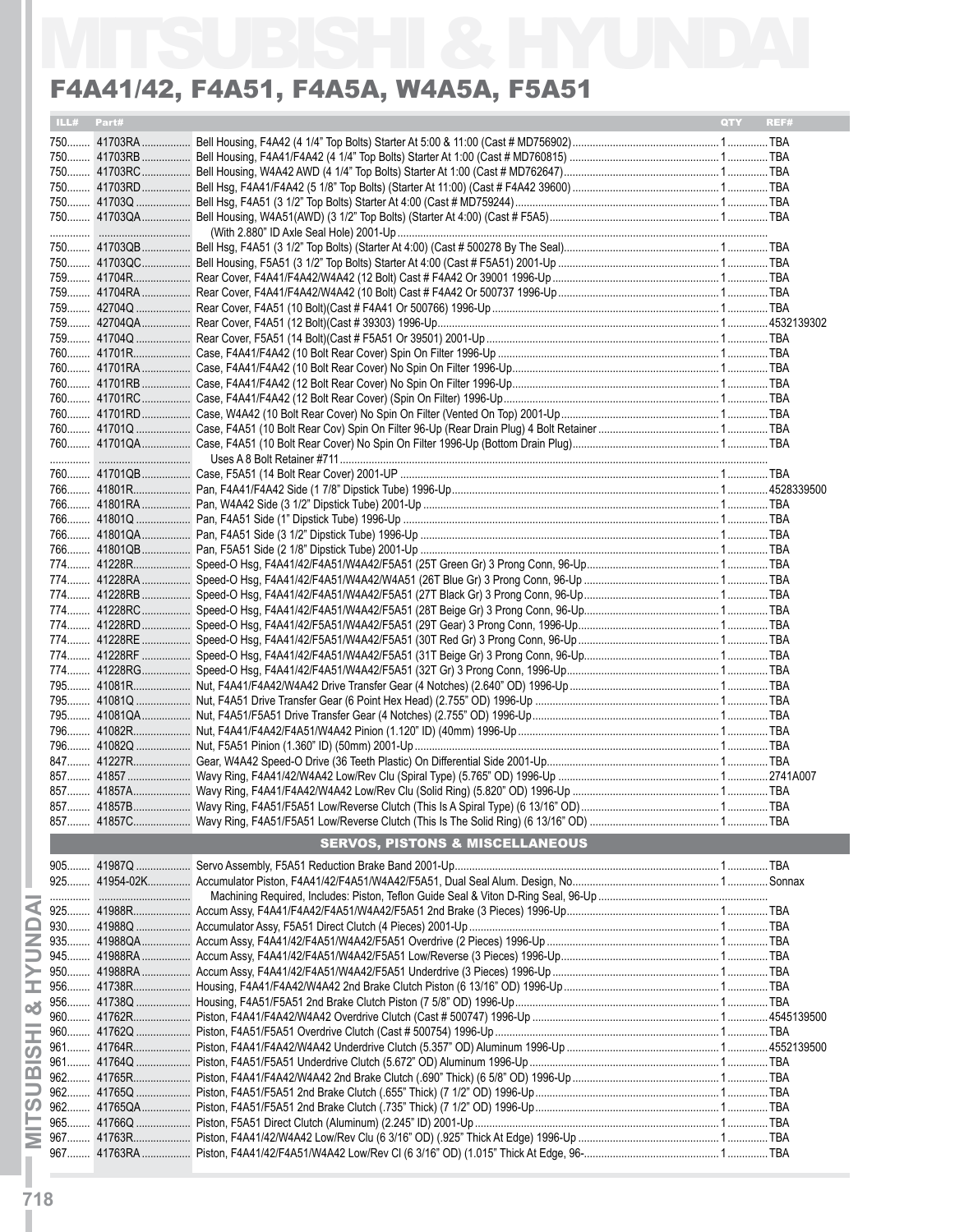|            | F4A41/42, F4A51, F4A5A, W4A5A, F5A51       |                    |
|------------|--------------------------------------------|--------------------|
| ILL# Part# |                                            | <b>QTY</b><br>REF# |
|            |                                            |                    |
|            |                                            |                    |
|            |                                            |                    |
|            |                                            |                    |
|            |                                            |                    |
|            |                                            |                    |
|            |                                            |                    |
|            |                                            |                    |
|            |                                            |                    |
|            |                                            |                    |
|            |                                            |                    |
|            |                                            |                    |
|            |                                            |                    |
|            |                                            |                    |
|            |                                            |                    |
|            |                                            |                    |
|            |                                            |                    |
|            |                                            |                    |
|            |                                            |                    |
|            |                                            |                    |
|            |                                            |                    |
|            |                                            |                    |
|            |                                            |                    |
|            |                                            |                    |
|            |                                            |                    |
|            |                                            |                    |
|            |                                            |                    |
|            |                                            |                    |
|            |                                            |                    |
|            |                                            |                    |
|            |                                            |                    |
|            |                                            |                    |
|            |                                            |                    |
|            |                                            |                    |
|            |                                            |                    |
|            |                                            |                    |
|            |                                            |                    |
|            |                                            |                    |
|            |                                            |                    |
|            |                                            |                    |
|            |                                            |                    |
|            |                                            |                    |
|            |                                            |                    |
|            |                                            |                    |
|            |                                            |                    |
|            |                                            |                    |
|            |                                            |                    |
|            | <b>SERVOS, PISTONS &amp; MISCELLANEOUS</b> |                    |
|            |                                            |                    |
|            |                                            |                    |
|            |                                            |                    |
|            |                                            |                    |
|            |                                            |                    |
|            |                                            |                    |
|            |                                            |                    |
|            |                                            |                    |
|            |                                            |                    |
|            |                                            |                    |
|            |                                            |                    |
|            |                                            |                    |
|            |                                            |                    |
|            |                                            |                    |
|            |                                            |                    |
|            |                                            |                    |
|            |                                            |                    |
|            |                                            |                    |
|            |                                            |                    |
|            |                                            |                    |
|            |                                            |                    |
|            |                                            |                    |

**MITSUBISHI & HYUNDAI IMITSUBISHI & HYUNDAI** I